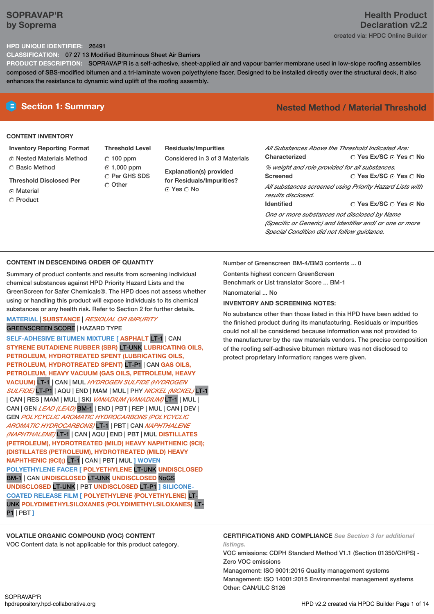# **SOPRAVAP'R by Soprema**

# **Health Product Declaration v2.2** created via: HPDC Online Builder

### **HPD UNIQUE IDENTIFIER:** 26491

**CLASSIFICATION:** 07 27 13 Modified Bituminous Sheet Air Barriers

**PRODUCT DESCRIPTION:** SOPRAVAP'R is a self-adhesive, sheet-applied air and vapour barrier membrane used in low-slope roofing assemblies composed of SBS-modified bitumen and a tri-laminate woven polyethylene facer. Designed to be installed directly over the structural deck, it also enhances the resistance to dynamic wind uplift of the roofing assembly.

# **CONTENT INVENTORY**

**Inventory Reporting Format**

- Nested Materials Method Basic Method
- **Threshold Disclosed Per**
- C Material
- Product

**Threshold Level**  $C$  100 ppm 1,000 ppm

C Per GHS SDS Other

- **Residuals/Impurities** Considered in 3 of 3 Materials
	- **Explanation(s) provided for Residuals/Impurities?** © Yes ∩ No

# **Section 1: Summary Nested Method / Material Threshold**

| All Substances Above the Threshold Indicated Are: |                                                          |
|---------------------------------------------------|----------------------------------------------------------|
| Characterized                                     | ∩ Yes Ex/SC ∩ Yes ∩ No                                   |
| % weight and role provided for all substances.    |                                                          |
| Screened                                          | ∩ Yes Ex/SC ∩ Yes ∩ No                                   |
|                                                   | All substances screened using Priority Hazard Lists with |
| results disclosed.                                |                                                          |
| <b>Identified</b>                                 | $\cap$ Yes Ex/SC $\cap$ Yes $\cap$ No                    |
| One or more substances not disclosed by Name      |                                                          |
|                                                   | (Specific or Generic) and Identifier and/ or one or more |
| Special Condition did not follow quidance.        |                                                          |

### **CONTENT IN DESCENDING ORDER OF QUANTITY**

Summary of product contents and results from screening individual chemical substances against HPD Priority Hazard Lists and the GreenScreen for Safer Chemicals®. The HPD does not assess whether using or handling this product will expose individuals to its chemical substances or any health risk. Refer to Section 2 for further details.

# **MATERIAL** | **SUBSTANCE** | *RESIDUAL OR IMPURITY* GREENSCREEN SCORE | HAZARD TYPE

**SELF-ADHESIVE BITUMEN MIXTURE [ ASPHALT** LT-1 | CAN **STYRENE BUTADIENE RUBBER (SBR)** LT-UNK **LUBRICATING OILS, PETROLEUM, HYDROTREATED SPENT (LUBRICATING OILS, PETROLEUM, HYDROTREATED SPENT)** LT-P1 | CAN **GAS OILS, PETROLEUM, HEAVY VACUUM (GAS OILS, PETROLEUM, HEAVY VACUUM)** LT-1 | CAN | MUL *HYDROGEN SULFIDE (HYDROGEN SULFIDE)* LT-P1 | AQU | END | MAM |MUL | PHY *NICKEL (NICKEL)* LT-1 | CAN | RES | MAM |MUL | SKI *VANADIUM (VANADIUM)* LT-1 | MUL | CAN | GEN *LEAD (LEAD)* BM-1 | END | PBT | REP | MUL | CAN | DEV | GEN *POLYCYCLIC AROMATIC HYDROCARBONS (POLYCYCLIC AROMATIC HYDROCARBONS)* LT-1 | PBT | CAN *NAPHTHALENE (NAPHTHALENE)* LT-1 | CAN | AQU | END | PBT | MUL **DISTILLATES (PETROLEUM), HYDROTREATED (MILD) HEAVY NAPHTHENIC (9CI); (DISTILLATES (PETROLEUM), HYDROTREATED (MILD) HEAVY NAPHTHENIC (9CI);)** LT-1 | CAN | PBT | MUL **] WOVEN POLYETHYLENE FACER [ POLYETHYLENE** LT-UNK **UNDISCLOSED** BM-1 | CAN **UNDISCLOSED** LT-UNK **UNDISCLOSED** NoGS **UNDISCLOSED** LT-UNK | PBT **UNDISCLOSED** LT-P1 **] SILICONE-COATED RELEASE FILM [ POLYETHYLENE (POLYETHYLENE)** LT-UNK **POLYDIMETHYLSILOXANES (POLYDIMETHYLSILOXANES)** LT-P1 | PBT **]**

**VOLATILE ORGANIC COMPOUND (VOC) CONTENT** VOC Content data is not applicable for this product category. Number of Greenscreen BM-4/BM3 contents ... 0

Contents highest concern GreenScreen

Benchmark or List translator Score ... BM-1

Nanomaterial ... No

#### **INVENTORY AND SCREENING NOTES:**

No substance other than those listed in this HPD have been added to the finished product during its manufacturing. Residuals or impurities could not all be considered because information was not provided to the manufacturer by the raw materials vendors. The precise composition of the roofing self-adhesive bitumen mixture was not disclosed to protect proprietary information; ranges were given.

**CERTIFICATIONS AND COMPLIANCE** *See Section 3 for additional listings.*

VOC emissions: CDPH Standard Method V1.1 (Section 01350/CHPS) - Zero VOC emissions

Management: ISO 9001:2015 Quality management systems Management: ISO 14001:2015 Environmental management systems Other: CAN/ULC S126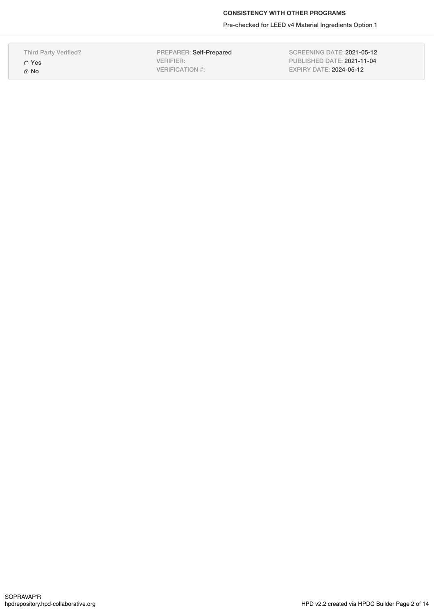Pre-checked for LEED v4 Material Ingredients Option 1

Third Party Verified?

Yes No

PREPARER: Self-Prepared VERIFIER: VERIFICATION #:

SCREENING DATE: 2021-05-12 PUBLISHED DATE: 2021-11-04 EXPIRY DATE: 2024-05-12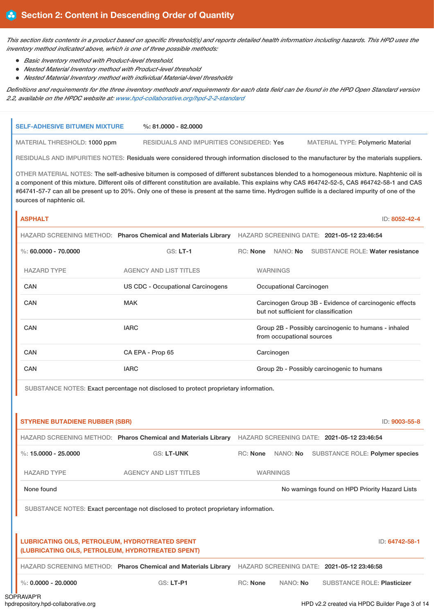This section lists contents in a product based on specific threshold(s) and reports detailed health information including hazards. This HPD uses the *inventory method indicated above, which is one of three possible methods:*

- *Basic Inventory method with Product-level threshold.*
- *Nested Material Inventory method with Product-level threshold*
- *Nested Material Inventory method with individual Material-level thresholds*

Definitions and requirements for the three inventory methods and requirements for each data field can be found in the HPD Open Standard version *2.2, available on the HPDC website at: [www.hpd-collaborative.org/hpd-2-2-standard](https://www.hpd-collaborative.org/hpd-2-2-standard)*

| <b>SELF-ADHESIVE BITUMEN MIXTURE</b>                                                                        | $\%$ : 81,0000 - 82,0000                                                            |                                                                                                                                                                                                                                                                                                                                                                                                                                             |
|-------------------------------------------------------------------------------------------------------------|-------------------------------------------------------------------------------------|---------------------------------------------------------------------------------------------------------------------------------------------------------------------------------------------------------------------------------------------------------------------------------------------------------------------------------------------------------------------------------------------------------------------------------------------|
| MATERIAL THRESHOLD: 1000 ppm                                                                                | RESIDUALS AND IMPURITIES CONSIDERED: Yes                                            | <b>MATERIAL TYPE: Polymeric Material</b>                                                                                                                                                                                                                                                                                                                                                                                                    |
|                                                                                                             |                                                                                     | RESIDUALS AND IMPURITIES NOTES: Residuals were considered through information disclosed to the manufacturer by the materials suppliers.                                                                                                                                                                                                                                                                                                     |
| sources of naphtenic oil.                                                                                   |                                                                                     | OTHER MATERIAL NOTES: The self-adhesive bitumen is composed of different substances blended to a homogeneous mixture. Naphtenic oil is<br>a component of this mixture. Different oils of different constitution are available. This explains why CAS #64742-52-5, CAS #64742-58-1 and CAS<br>#64741-57-7 can all be present up to 20%. Only one of these is present at the same time. Hydrogen sulfide is a declared impurity of one of the |
| <b>ASPHALT</b>                                                                                              |                                                                                     | ID: 8052-42-4                                                                                                                                                                                                                                                                                                                                                                                                                               |
|                                                                                                             |                                                                                     | HAZARD SCREENING METHOD: Pharos Chemical and Materials Library HAZARD SCREENING DATE: 2021-05-12 23:46:54                                                                                                                                                                                                                                                                                                                                   |
| %: $60.0000 - 70.0000$                                                                                      | $GS: LT-1$                                                                          | RC: None NANO: No<br><b>SUBSTANCE ROLE: Water resistance</b>                                                                                                                                                                                                                                                                                                                                                                                |
| <b>HAZARD TYPE</b>                                                                                          | <b>AGENCY AND LIST TITLES</b>                                                       | <b>WARNINGS</b>                                                                                                                                                                                                                                                                                                                                                                                                                             |
| <b>CAN</b>                                                                                                  | <b>US CDC - Occupational Carcinogens</b>                                            | Occupational Carcinogen                                                                                                                                                                                                                                                                                                                                                                                                                     |
| <b>CAN</b>                                                                                                  | <b>MAK</b>                                                                          | Carcinogen Group 3B - Evidence of carcinogenic effects<br>but not sufficient for classification                                                                                                                                                                                                                                                                                                                                             |
| <b>CAN</b>                                                                                                  | <b>IARC</b>                                                                         | Group 2B - Possibly carcinogenic to humans - inhaled<br>from occupational sources                                                                                                                                                                                                                                                                                                                                                           |
| <b>CAN</b>                                                                                                  | CA EPA - Prop 65                                                                    | Carcinogen                                                                                                                                                                                                                                                                                                                                                                                                                                  |
| <b>CAN</b>                                                                                                  | <b>IARC</b>                                                                         | Group 2b - Possibly carcinogenic to humans                                                                                                                                                                                                                                                                                                                                                                                                  |
|                                                                                                             | SUBSTANCE NOTES: Exact percentage not disclosed to protect proprietary information. |                                                                                                                                                                                                                                                                                                                                                                                                                                             |
| <b>STYRENE BUTADIENE RUBBER (SBR)</b>                                                                       |                                                                                     | ID: 9003-55-8                                                                                                                                                                                                                                                                                                                                                                                                                               |
|                                                                                                             |                                                                                     | HAZARD SCREENING METHOD: Pharos Chemical and Materials Library HAZARD SCREENING DATE: 2021-05-12 23:46:54                                                                                                                                                                                                                                                                                                                                   |
| $\%: 15,0000 - 25,0000$                                                                                     | GS: LT-UNK                                                                          | RC: None NANO: No SUBSTANCE ROLE: Polymer species                                                                                                                                                                                                                                                                                                                                                                                           |
| <b>HAZARD TYPE</b>                                                                                          | <b>AGENCY AND LIST TITLES</b>                                                       | <b>WARNINGS</b>                                                                                                                                                                                                                                                                                                                                                                                                                             |
| None found                                                                                                  |                                                                                     | No warnings found on HPD Priority Hazard Lists                                                                                                                                                                                                                                                                                                                                                                                              |
|                                                                                                             | SUBSTANCE NOTES: Exact percentage not disclosed to protect proprietary information. |                                                                                                                                                                                                                                                                                                                                                                                                                                             |
| <b>LUBRICATING OILS, PETROLEUM, HYDROTREATED SPENT</b><br>(LUBRICATING OILS, PETROLEUM, HYDROTREATED SPENT) |                                                                                     | ID: 64742-58-1                                                                                                                                                                                                                                                                                                                                                                                                                              |
|                                                                                                             |                                                                                     | HAZARD SCREENING METHOD: Pharos Chemical and Materials Library HAZARD SCREENING DATE: 2021-05-12 23:46:58                                                                                                                                                                                                                                                                                                                                   |

%: **0.0000 - 20.0000** GS: **LT-P1** RC: **None** NANO: **No** SUBSTANCE ROLE: **Plasticizer**

HPD v2.2 created via HPDC Builder Page 3 of 14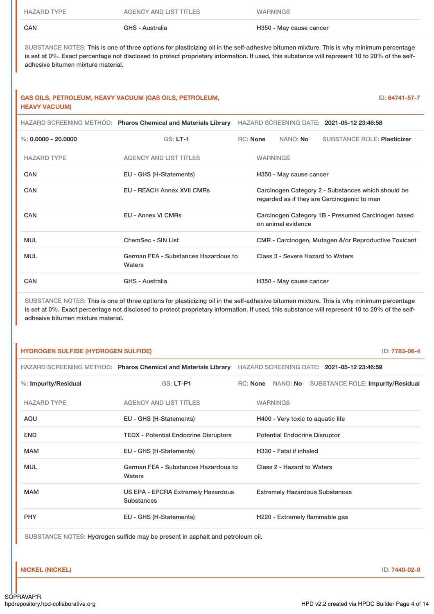| CAN                | GHS - Australia        | H350 - May cause cancer |
|--------------------|------------------------|-------------------------|
| <b>HAZARD TYPE</b> | AGENCY AND LIST TITLES | <b>WARNINGS</b>         |

SUBSTANCE NOTES: This is one of three options for plasticizing oil in the self-adhesive bitumen mixture. This is why minimum percentage is set at 0%. Exact percentage not disclosed to protect proprietary information. If used, this substance will represent 10 to 20% of the selfadhesive bitumen mixture material.

## **GAS OILS, PETROLEUM, HEAVY VACUUM (GAS OILS, PETROLEUM, HEAVY VACUUM)**

ID: **64741-57-7**

|                       | HAZARD SCREENING METHOD: Pharos Chemical and Materials Library |                 |                 |                                   | HAZARD SCREENING DATE: 2021-05-12 23:46:58                                                        |
|-----------------------|----------------------------------------------------------------|-----------------|-----------------|-----------------------------------|---------------------------------------------------------------------------------------------------|
| %: $0.0000 - 20.0000$ | $GS: LT-1$                                                     | <b>RC:</b> None |                 | NANO: <b>No</b>                   | <b>SUBSTANCE ROLE: Plasticizer</b>                                                                |
| <b>HAZARD TYPE</b>    | <b>AGENCY AND LIST TITLES</b>                                  |                 | <b>WARNINGS</b> |                                   |                                                                                                   |
| <b>CAN</b>            | EU - GHS (H-Statements)                                        |                 |                 | H350 - May cause cancer           |                                                                                                   |
| <b>CAN</b>            | <b>EU - REACH Annex XVII CMRs</b>                              |                 |                 |                                   | Carcinogen Category 2 - Substances which should be<br>regarded as if they are Carcinogenic to man |
| <b>CAN</b>            | <b>EU - Annex VI CMRs</b>                                      |                 |                 | on animal evidence                | Carcinogen Category 1B - Presumed Carcinogen based                                                |
| <b>MUL</b>            | ChemSec - SIN List                                             |                 |                 |                                   | CMR - Carcinogen, Mutagen &/or Reproductive Toxicant                                              |
| <b>MUL</b>            | German FEA - Substances Hazardous to<br>Waters                 |                 |                 | Class 3 - Severe Hazard to Waters |                                                                                                   |
| CAN                   | GHS - Australia                                                |                 |                 | H350 - May cause cancer           |                                                                                                   |

SUBSTANCE NOTES: This is one of three options for plasticizing oil in the self-adhesive bitumen mixture. This is why minimum percentage is set at 0%. Exact percentage not disclosed to protect proprietary information. If used, this substance will represent 10 to 20% of the selfadhesive bitumen mixture material.

### **HYDROGEN SULFIDE (HYDROGEN SULFIDE)** ID: **7783-06-4**

|                      | HAZARD SCREENING METHOD: Pharos Chemical and Materials Library HAZARD SCREENING DATE: 2021-05-12 23:46:59 |  |                                      |                                          |  |
|----------------------|-----------------------------------------------------------------------------------------------------------|--|--------------------------------------|------------------------------------------|--|
| %: Impurity/Residual | <b>GS: LT-P1</b>                                                                                          |  | RC: None NANO: No                    | <b>SUBSTANCE ROLE: Impurity/Residual</b> |  |
| <b>HAZARD TYPE</b>   | <b>AGENCY AND LIST TITLES</b>                                                                             |  | <b>WARNINGS</b>                      |                                          |  |
| AQU                  | EU - GHS (H-Statements)                                                                                   |  |                                      | H400 - Very toxic to aquatic life        |  |
| <b>END</b>           | <b>TEDX</b> - Potential Endocrine Disruptors                                                              |  | <b>Potential Endocrine Disruptor</b> |                                          |  |
| <b>MAM</b>           | EU - GHS (H-Statements)                                                                                   |  | H330 - Fatal if inhaled              |                                          |  |
| <b>MUL</b>           | German FEA - Substances Hazardous to<br>Waters                                                            |  | Class 2 - Hazard to Waters           |                                          |  |
| <b>MAM</b>           | US EPA - EPCRA Extremely Hazardous<br><b>Substances</b>                                                   |  |                                      | <b>Extremely Hazardous Substances</b>    |  |
| <b>PHY</b>           | EU - GHS (H-Statements)                                                                                   |  |                                      | H220 - Extremely flammable gas           |  |
|                      |                                                                                                           |  |                                      |                                          |  |

SUBSTANCE NOTES: Hydrogen sulfide may be present in asphalt and petroleum oil.

**NICKEL (NICKEL)** ID: **7440-02-0**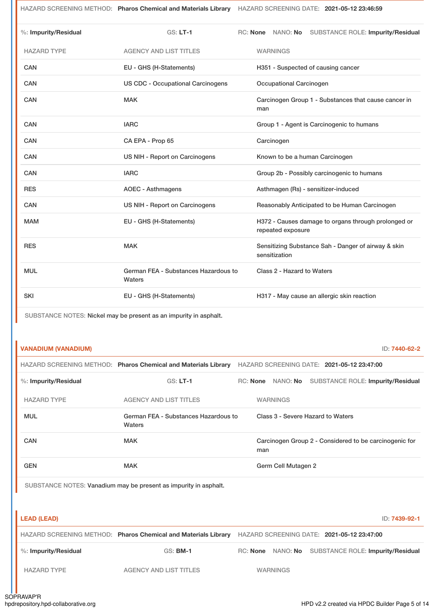HAZARD SCREENING METHOD: **Pharos Chemical and Materials Library** HAZARD SCREENING DATE: **2021-05-12 23:46:59**

| %: Impurity/Residual | $GS: LT-1$                                     | RC: None NANO: No SUBSTANCE ROLE: Impurity/Residual                      |
|----------------------|------------------------------------------------|--------------------------------------------------------------------------|
| <b>HAZARD TYPE</b>   | <b>AGENCY AND LIST TITLES</b>                  | <b>WARNINGS</b>                                                          |
| CAN                  | EU - GHS (H-Statements)                        | H351 - Suspected of causing cancer                                       |
| CAN                  | <b>US CDC - Occupational Carcinogens</b>       | Occupational Carcinogen                                                  |
| <b>CAN</b>           | <b>MAK</b>                                     | Carcinogen Group 1 - Substances that cause cancer in<br>man              |
| CAN                  | <b>IARC</b>                                    | Group 1 - Agent is Carcinogenic to humans                                |
| CAN                  | CA EPA - Prop 65                               | Carcinogen                                                               |
| CAN                  | US NIH - Report on Carcinogens                 | Known to be a human Carcinogen                                           |
| CAN                  | <b>IARC</b>                                    | Group 2b - Possibly carcinogenic to humans                               |
| <b>RES</b>           | <b>AOEC - Asthmagens</b>                       | Asthmagen (Rs) - sensitizer-induced                                      |
| CAN                  | US NIH - Report on Carcinogens                 | Reasonably Anticipated to be Human Carcinogen                            |
| <b>MAM</b>           | EU - GHS (H-Statements)                        | H372 - Causes damage to organs through prolonged or<br>repeated exposure |
| <b>RES</b>           | <b>MAK</b>                                     | Sensitizing Substance Sah - Danger of airway & skin<br>sensitization     |
| <b>MUL</b>           | German FEA - Substances Hazardous to<br>Waters | Class 2 - Hazard to Waters                                               |
| <b>SKI</b>           | EU - GHS (H-Statements)                        | H317 - May cause an allergic skin reaction                               |

SUBSTANCE NOTES: Nickel may be present as an impurity in asphalt.

# **VANADIUM (VANADIUM)** ID: **7440-62-2**

|                      | HAZARD SCREENING METHOD: Pharos Chemical and Materials Library |          |     |                     | HAZARD SCREENING DATE: 2021-05-12 23:47:00             |
|----------------------|----------------------------------------------------------------|----------|-----|---------------------|--------------------------------------------------------|
| %: Impurity/Residual | $GS: LT-1$                                                     | RC: None |     | NANO: No            | SUBSTANCE ROLE: Impurity/Residual                      |
| <b>HAZARD TYPE</b>   | <b>AGENCY AND LIST TITLES</b>                                  |          |     | <b>WARNINGS</b>     |                                                        |
| <b>MUL</b>           | German FEA - Substances Hazardous to<br>Waters                 |          |     |                     | Class 3 - Severe Hazard to Waters                      |
| CAN                  | <b>MAK</b>                                                     |          | man |                     | Carcinogen Group 2 - Considered to be carcinogenic for |
| <b>GEN</b>           | <b>MAK</b>                                                     |          |     | Germ Cell Mutagen 2 |                                                        |

SUBSTANCE NOTES: Vanadium may be present as impurity in asphalt.

| <b>LEAD (LEAD)</b>   |                                                                |                 | ID: 7439-92-1                                       |
|----------------------|----------------------------------------------------------------|-----------------|-----------------------------------------------------|
|                      | HAZARD SCREENING METHOD: Pharos Chemical and Materials Library |                 | HAZARD SCREENING DATE: 2021-05-12 23:47:00          |
| %: Impurity/Residual | <b>GS: BM-1</b>                                                |                 | RC: None NANO: No SUBSTANCE ROLE: Impurity/Residual |
| <b>HAZARD TYPE</b>   | <b>AGENCY AND LIST TITLES</b>                                  | <b>WARNINGS</b> |                                                     |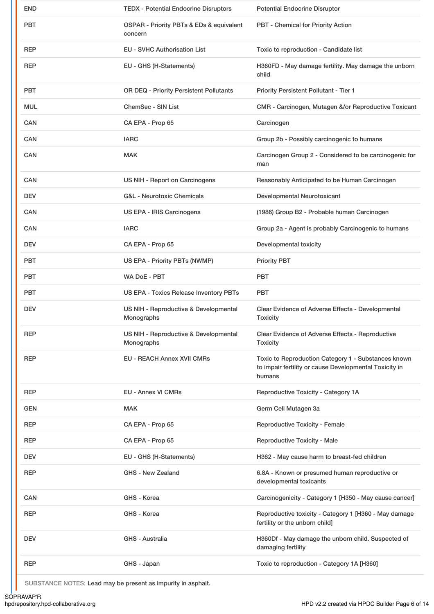| <b>END</b> | <b>TEDX - Potential Endocrine Disruptors</b>        | <b>Potential Endocrine Disruptor</b>                                                                                    |
|------------|-----------------------------------------------------|-------------------------------------------------------------------------------------------------------------------------|
| <b>PBT</b> | OSPAR - Priority PBTs & EDs & equivalent<br>concern | PBT - Chemical for Priority Action                                                                                      |
| <b>REP</b> | <b>EU - SVHC Authorisation List</b>                 | Toxic to reproduction - Candidate list                                                                                  |
| <b>REP</b> | EU - GHS (H-Statements)                             | H360FD - May damage fertility. May damage the unborn<br>child                                                           |
| <b>PBT</b> | OR DEQ - Priority Persistent Pollutants             | Priority Persistent Pollutant - Tier 1                                                                                  |
| <b>MUL</b> | ChemSec - SIN List                                  | CMR - Carcinogen, Mutagen &/or Reproductive Toxicant                                                                    |
| <b>CAN</b> | CA EPA - Prop 65                                    | Carcinogen                                                                                                              |
| <b>CAN</b> | <b>IARC</b>                                         | Group 2b - Possibly carcinogenic to humans                                                                              |
| <b>CAN</b> | <b>MAK</b>                                          | Carcinogen Group 2 - Considered to be carcinogenic for<br>man                                                           |
| <b>CAN</b> | US NIH - Report on Carcinogens                      | Reasonably Anticipated to be Human Carcinogen                                                                           |
| <b>DEV</b> | <b>G&amp;L</b> - Neurotoxic Chemicals               | Developmental Neurotoxicant                                                                                             |
| <b>CAN</b> | US EPA - IRIS Carcinogens                           | (1986) Group B2 - Probable human Carcinogen                                                                             |
| <b>CAN</b> | <b>IARC</b>                                         | Group 2a - Agent is probably Carcinogenic to humans                                                                     |
| <b>DEV</b> | CA EPA - Prop 65                                    | Developmental toxicity                                                                                                  |
| <b>PBT</b> | US EPA - Priority PBTs (NWMP)                       | <b>Priority PBT</b>                                                                                                     |
| <b>PBT</b> | <b>WA DoE - PBT</b>                                 | <b>PBT</b>                                                                                                              |
|            |                                                     |                                                                                                                         |
| <b>PBT</b> | US EPA - Toxics Release Inventory PBTs              | <b>PBT</b>                                                                                                              |
| <b>DEV</b> | US NIH - Reproductive & Developmental<br>Monographs | Clear Evidence of Adverse Effects - Developmental<br><b>Toxicity</b>                                                    |
| REP        | US NIH - Reproductive & Developmental<br>Monographs | Clear Evidence of Adverse Effects - Reproductive<br><b>Toxicity</b>                                                     |
| <b>REP</b> | <b>EU - REACH Annex XVII CMRs</b>                   | Toxic to Reproduction Category 1 - Substances known<br>to impair fertility or cause Developmental Toxicity in<br>humans |
| <b>REP</b> | EU - Annex VI CMRs                                  | Reproductive Toxicity - Category 1A                                                                                     |
| <b>GEN</b> | <b>MAK</b>                                          | Germ Cell Mutagen 3a                                                                                                    |
| <b>REP</b> | CA EPA - Prop 65                                    | Reproductive Toxicity - Female                                                                                          |
| <b>REP</b> | CA EPA - Prop 65                                    | Reproductive Toxicity - Male                                                                                            |
| DEV        | EU - GHS (H-Statements)                             | H362 - May cause harm to breast-fed children                                                                            |
| <b>REP</b> | <b>GHS - New Zealand</b>                            | 6.8A - Known or presumed human reproductive or<br>developmental toxicants                                               |
| <b>CAN</b> | GHS - Korea                                         | Carcinogenicity - Category 1 [H350 - May cause cancer]                                                                  |
| <b>REP</b> | GHS - Korea                                         | Reproductive toxicity - Category 1 [H360 - May damage<br>fertility or the unborn child]                                 |
| <b>DEV</b> | GHS - Australia                                     | H360Df - May damage the unborn child. Suspected of<br>damaging fertility                                                |

SUBSTANCE NOTES: Lead may be present as impurity in asphalt.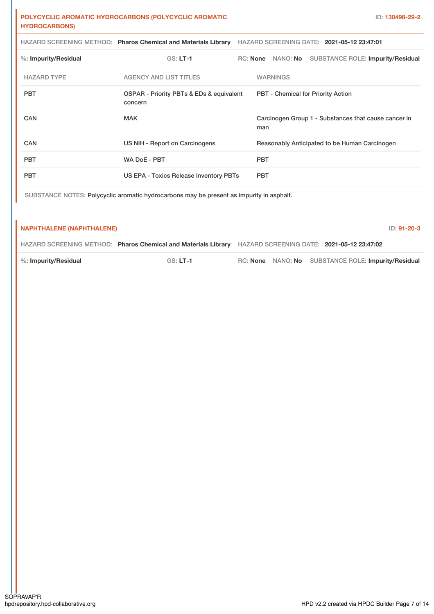## **POLYCYCLIC AROMATIC HYDROCARBONS (POLYCYCLIC AROMATIC HYDROCARBONS)**

|                         | HAZARD SCREENING METHOD: Pharos Chemical and Materials Library |          |            | HAZARD SCREENING DATE: 2021-05-12 23:47:01           |  |                                   |  |
|-------------------------|----------------------------------------------------------------|----------|------------|------------------------------------------------------|--|-----------------------------------|--|
| $%$ : Impurity/Residual | $GS: LT-1$                                                     | RC: None |            | NANO: <b>No</b>                                      |  | SUBSTANCE ROLE: Impurity/Residual |  |
| <b>HAZARD TYPE</b>      | AGENCY AND LIST TITLES                                         |          |            | <b>WARNINGS</b>                                      |  |                                   |  |
| <b>PBT</b>              | OSPAR - Priority PBTs & EDs & equivalent<br>concern            |          |            | <b>PBT</b> - Chemical for Priority Action            |  |                                   |  |
| CAN                     | <b>MAK</b>                                                     |          | man        | Carcinogen Group 1 - Substances that cause cancer in |  |                                   |  |
| <b>CAN</b>              | US NIH - Report on Carcinogens                                 |          |            | Reasonably Anticipated to be Human Carcinogen        |  |                                   |  |
| <b>PBT</b>              | <b>WA DoE - PBT</b>                                            |          | <b>PBT</b> |                                                      |  |                                   |  |
| <b>PBT</b>              | US EPA - Toxics Release Inventory PBTs                         |          | <b>PBT</b> |                                                      |  |                                   |  |

SUBSTANCE NOTES: Polycyclic aromatic hydrocarbons may be present as impurity in asphalt.

#### **NAPHTHALENE (NAPHTHALENE)** ID: **91-20-3**

HAZARD SCREENING METHOD: **Pharos Chemical and Materials Library** HAZARD SCREENING DATE: **2021-05-12 23:47:02**

%: **Impurity/Residual** GS: **LT-1** RC: **None** NANO: **No** SUBSTANCE ROLE: **Impurity/Residual**

SOPRAVAP'R<br>hpdrepository.hpd-collaborative.org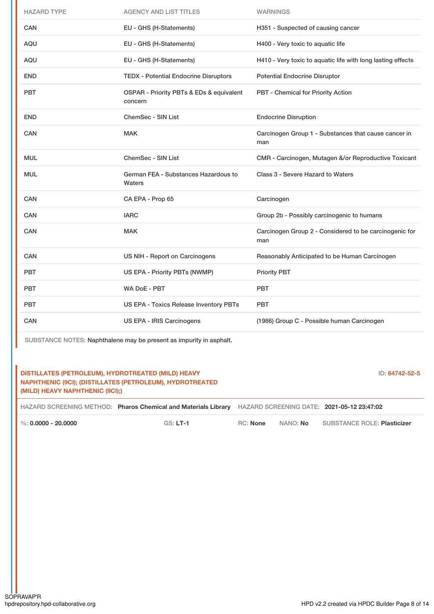| <b>HAZARD TYPE</b> | <b>AGENCY AND LIST TITLES</b>                       | <b>WARNINGS</b>                                               |
|--------------------|-----------------------------------------------------|---------------------------------------------------------------|
| <b>CAN</b>         | EU - GHS (H-Statements)                             | H351 - Suspected of causing cancer                            |
| <b>AQU</b>         | EU - GHS (H-Statements)                             | H400 - Very toxic to aquatic life                             |
| <b>AQU</b>         | EU - GHS (H-Statements)                             | H410 - Very toxic to aquatic life with long lasting effects   |
| <b>END</b>         | <b>TEDX - Potential Endocrine Disruptors</b>        | <b>Potential Endocrine Disruptor</b>                          |
| <b>PBT</b>         | OSPAR - Priority PBTs & EDs & equivalent<br>concern | PBT - Chemical for Priority Action                            |
| <b>END</b>         | <b>ChemSec - SIN List</b>                           | <b>Endocrine Disruption</b>                                   |
| <b>CAN</b>         | <b>MAK</b>                                          | Carcinogen Group 1 - Substances that cause cancer in<br>man   |
| MUL                | <b>ChemSec - SIN List</b>                           | CMR - Carcinogen, Mutagen &/or Reproductive Toxicant          |
| MUL                | German FEA - Substances Hazardous to<br>Waters      | Class 3 - Severe Hazard to Waters                             |
| <b>CAN</b>         | CA EPA - Prop 65                                    | Carcinogen                                                    |
| CAN                | <b>IARC</b>                                         | Group 2b - Possibly carcinogenic to humans                    |
| CAN                | <b>MAK</b>                                          | Carcinogen Group 2 - Considered to be carcinogenic for<br>man |
| <b>CAN</b>         | US NIH - Report on Carcinogens                      | Reasonably Anticipated to be Human Carcinogen                 |
| <b>PBT</b>         | US EPA - Priority PBTs (NWMP)                       | <b>Priority PBT</b>                                           |
| <b>PBT</b>         | WA DoE - PBT                                        | <b>PBT</b>                                                    |
| <b>PBT</b>         | US EPA - Toxics Release Inventory PBTs              | PBT                                                           |
| <b>CAN</b>         | US EPA - IRIS Carcinogens                           | (1986) Group C - Possible human Carcinogen                    |

SUBSTANCE NOTES: Naphthalene may be present as impurity in asphalt.

# **DISTILLATES (PETROLEUM), HYDROTREATED (MILD) HEAVY NAPHTHENIC (9CI); (DISTILLATES (PETROLEUM), HYDROTREATED (MILD) HEAVY NAPHTHENIC (9CI);)**

ID: **64742-52-5**

HAZARD SCREENING METHOD: **Pharos Chemical and Materials Library** HAZARD SCREENING DATE: **2021-05-12 23:47:02**

%: **0.0000 - 20.0000** GS: **LT-1** RC: **None** NANO: **No** SUBSTANCE ROLE: **Plasticizer**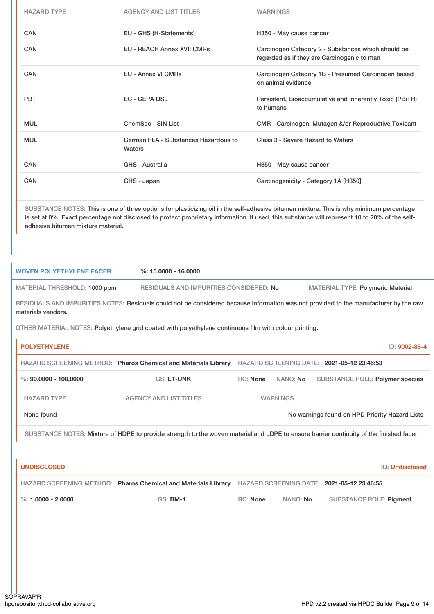| EU - GHS (H-Statements)<br><b>EU - REACH Annex XVII CMRs</b><br><b>EU - Annex VI CMRs</b><br><b>EC - CEPA DSL</b><br>ChemSec - SIN List | H350 - May cause cancer<br>Carcinogen Category 2 - Substances which should be<br>regarded as if they are Carcinogenic to man<br>Carcinogen Category 1B - Presumed Carcinogen based<br>on animal evidence<br>Persistent, Bioaccumulative and inherently Toxic (PBiTH)<br>to humans |                                                                                                                                                                                                                                                                                                                                                                                                                                                                                                                                                                                                                                                                                                                                                  |
|-----------------------------------------------------------------------------------------------------------------------------------------|-----------------------------------------------------------------------------------------------------------------------------------------------------------------------------------------------------------------------------------------------------------------------------------|--------------------------------------------------------------------------------------------------------------------------------------------------------------------------------------------------------------------------------------------------------------------------------------------------------------------------------------------------------------------------------------------------------------------------------------------------------------------------------------------------------------------------------------------------------------------------------------------------------------------------------------------------------------------------------------------------------------------------------------------------|
|                                                                                                                                         |                                                                                                                                                                                                                                                                                   |                                                                                                                                                                                                                                                                                                                                                                                                                                                                                                                                                                                                                                                                                                                                                  |
|                                                                                                                                         |                                                                                                                                                                                                                                                                                   |                                                                                                                                                                                                                                                                                                                                                                                                                                                                                                                                                                                                                                                                                                                                                  |
|                                                                                                                                         |                                                                                                                                                                                                                                                                                   |                                                                                                                                                                                                                                                                                                                                                                                                                                                                                                                                                                                                                                                                                                                                                  |
|                                                                                                                                         |                                                                                                                                                                                                                                                                                   |                                                                                                                                                                                                                                                                                                                                                                                                                                                                                                                                                                                                                                                                                                                                                  |
|                                                                                                                                         | CMR - Carcinogen, Mutagen &/or Reproductive Toxicant                                                                                                                                                                                                                              |                                                                                                                                                                                                                                                                                                                                                                                                                                                                                                                                                                                                                                                                                                                                                  |
| German FEA - Substances Hazardous to<br>Waters                                                                                          | Class 3 - Severe Hazard to Waters                                                                                                                                                                                                                                                 |                                                                                                                                                                                                                                                                                                                                                                                                                                                                                                                                                                                                                                                                                                                                                  |
| <b>GHS - Australia</b>                                                                                                                  | H350 - May cause cancer                                                                                                                                                                                                                                                           |                                                                                                                                                                                                                                                                                                                                                                                                                                                                                                                                                                                                                                                                                                                                                  |
| GHS - Japan                                                                                                                             | Carcinogenicity - Category 1A [H350]                                                                                                                                                                                                                                              |                                                                                                                                                                                                                                                                                                                                                                                                                                                                                                                                                                                                                                                                                                                                                  |
|                                                                                                                                         |                                                                                                                                                                                                                                                                                   |                                                                                                                                                                                                                                                                                                                                                                                                                                                                                                                                                                                                                                                                                                                                                  |
| $%: 15.0000 - 16.0000$                                                                                                                  |                                                                                                                                                                                                                                                                                   |                                                                                                                                                                                                                                                                                                                                                                                                                                                                                                                                                                                                                                                                                                                                                  |
|                                                                                                                                         |                                                                                                                                                                                                                                                                                   |                                                                                                                                                                                                                                                                                                                                                                                                                                                                                                                                                                                                                                                                                                                                                  |
|                                                                                                                                         |                                                                                                                                                                                                                                                                                   | ID: 9002-88-4                                                                                                                                                                                                                                                                                                                                                                                                                                                                                                                                                                                                                                                                                                                                    |
|                                                                                                                                         |                                                                                                                                                                                                                                                                                   |                                                                                                                                                                                                                                                                                                                                                                                                                                                                                                                                                                                                                                                                                                                                                  |
| <b>GS: LT-UNK</b>                                                                                                                       | RC: None<br>NANO: No<br>SUBSTANCE ROLE: Polymer species                                                                                                                                                                                                                           |                                                                                                                                                                                                                                                                                                                                                                                                                                                                                                                                                                                                                                                                                                                                                  |
|                                                                                                                                         |                                                                                                                                                                                                                                                                                   |                                                                                                                                                                                                                                                                                                                                                                                                                                                                                                                                                                                                                                                                                                                                                  |
| <b>AGENCY AND LIST TITLES</b>                                                                                                           | <b>WARNINGS</b>                                                                                                                                                                                                                                                                   |                                                                                                                                                                                                                                                                                                                                                                                                                                                                                                                                                                                                                                                                                                                                                  |
|                                                                                                                                         | No warnings found on HPD Priority Hazard Lists                                                                                                                                                                                                                                    |                                                                                                                                                                                                                                                                                                                                                                                                                                                                                                                                                                                                                                                                                                                                                  |
|                                                                                                                                         | SUBSTANCE NOTES: Mixture of HDPE to provide strength to the woven material and LDPE to ensure barrier continuity of the finished facer                                                                                                                                            |                                                                                                                                                                                                                                                                                                                                                                                                                                                                                                                                                                                                                                                                                                                                                  |
|                                                                                                                                         | ID: Undisclosed                                                                                                                                                                                                                                                                   |                                                                                                                                                                                                                                                                                                                                                                                                                                                                                                                                                                                                                                                                                                                                                  |
|                                                                                                                                         | HAZARD SCREENING METHOD: Pharos Chemical and Materials Library HAZARD SCREENING DATE: 2021-05-12 23:46:55                                                                                                                                                                         |                                                                                                                                                                                                                                                                                                                                                                                                                                                                                                                                                                                                                                                                                                                                                  |
|                                                                                                                                         |                                                                                                                                                                                                                                                                                   | SUBSTANCE NOTES: This is one of three options for plasticizing oil in the self-adhesive bitumen mixture. This is why minimum percentage<br>is set at 0%. Exact percentage not disclosed to protect proprietary information. If used, this substance will represent 10 to 20% of the self-<br>RESIDUALS AND IMPURITIES CONSIDERED: No<br><b>MATERIAL TYPE: Polymeric Material</b><br>RESIDUALS AND IMPURITIES NOTES: Residuals could not be considered because information was not provided to the manufacturer by the raw<br>OTHER MATERIAL NOTES: Polyethylene grid coated with polyethylene continuous film with colour printing.<br>HAZARD SCREENING METHOD: Pharos Chemical and Materials Library HAZARD SCREENING DATE: 2021-05-12 23:46:53 |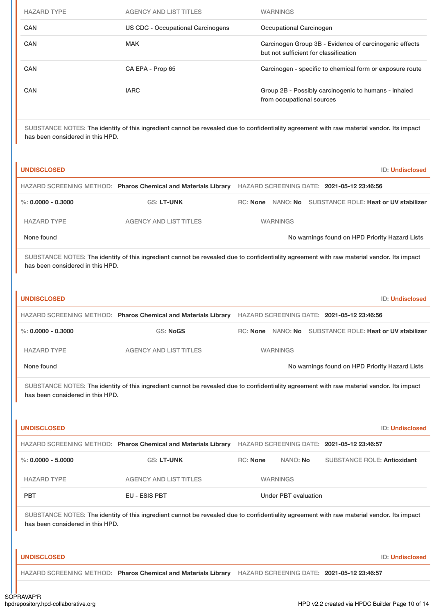| <b>HAZARD TYPE</b>                                     | <b>AGENCY AND LIST TITLES</b>                                                                                                             |          | <b>WARNINGS</b>                                                                                 |  |                                                |                 |
|--------------------------------------------------------|-------------------------------------------------------------------------------------------------------------------------------------------|----------|-------------------------------------------------------------------------------------------------|--|------------------------------------------------|-----------------|
| CAN                                                    | <b>US CDC - Occupational Carcinogens</b>                                                                                                  |          | Occupational Carcinogen                                                                         |  |                                                |                 |
| CAN                                                    | <b>MAK</b>                                                                                                                                |          | Carcinogen Group 3B - Evidence of carcinogenic effects<br>but not sufficient for classification |  |                                                |                 |
| CAN                                                    | CA EPA - Prop 65                                                                                                                          |          | Carcinogen - specific to chemical form or exposure route                                        |  |                                                |                 |
| CAN                                                    | <b>IARC</b>                                                                                                                               |          | Group 2B - Possibly carcinogenic to humans - inhaled<br>from occupational sources               |  |                                                |                 |
| has been considered in this HPD.                       | SUBSTANCE NOTES: The identity of this ingredient cannot be revealed due to confidentiality agreement with raw material vendor. Its impact |          |                                                                                                 |  |                                                |                 |
| <b>UNDISCLOSED</b>                                     |                                                                                                                                           |          |                                                                                                 |  |                                                | ID: Undisclosed |
|                                                        | HAZARD SCREENING METHOD: Pharos Chemical and Materials Library HAZARD SCREENING DATE: 2021-05-12 23:46:56                                 |          |                                                                                                 |  |                                                |                 |
| %: $0.0000 - 0.3000$                                   | <b>GS: LT-UNK</b>                                                                                                                         |          | RC: None NANO: No SUBSTANCE ROLE: Heat or UV stabilizer                                         |  |                                                |                 |
| <b>HAZARD TYPE</b>                                     | <b>AGENCY AND LIST TITLES</b>                                                                                                             |          | <b>WARNINGS</b>                                                                                 |  |                                                |                 |
|                                                        |                                                                                                                                           |          |                                                                                                 |  | No warnings found on HPD Priority Hazard Lists |                 |
| None found                                             |                                                                                                                                           |          |                                                                                                 |  |                                                |                 |
| has been considered in this HPD.<br><b>UNDISCLOSED</b> | SUBSTANCE NOTES: The identity of this ingredient cannot be revealed due to confidentiality agreement with raw material vendor. Its impact |          |                                                                                                 |  |                                                | ID: Undisclosed |
|                                                        | HAZARD SCREENING METHOD: Pharos Chemical and Materials Library HAZARD SCREENING DATE: 2021-05-12 23:46:56                                 |          |                                                                                                 |  |                                                |                 |
| $\%$ : 0.0000 - 0.3000                                 | <b>GS: NoGS</b>                                                                                                                           |          | RC: None NANO: No SUBSTANCE ROLE: Heat or UV stabilizer                                         |  |                                                |                 |
| <b>HAZARD TYPE</b>                                     | <b>AGENCY AND LIST TITLES</b>                                                                                                             |          | <b>WARNINGS</b>                                                                                 |  |                                                |                 |
| None found                                             |                                                                                                                                           |          |                                                                                                 |  | No warnings found on HPD Priority Hazard Lists |                 |
| has been considered in this HPD.                       | SUBSTANCE NOTES: The identity of this ingredient cannot be revealed due to confidentiality agreement with raw material vendor. Its impact |          |                                                                                                 |  |                                                |                 |
| <b>UNDISCLOSED</b>                                     |                                                                                                                                           |          |                                                                                                 |  |                                                | ID: Undisclosed |
|                                                        | HAZARD SCREENING METHOD: Pharos Chemical and Materials Library HAZARD SCREENING DATE: 2021-05-12 23:46:57                                 |          |                                                                                                 |  |                                                |                 |
| $\%$ : 0.0000 - 5.0000                                 | GS: LT-UNK                                                                                                                                | RC: None | NANO: No                                                                                        |  | <b>SUBSTANCE ROLE: Antioxidant</b>             |                 |
| <b>HAZARD TYPE</b>                                     | <b>AGENCY AND LIST TITLES</b>                                                                                                             |          | <b>WARNINGS</b>                                                                                 |  |                                                |                 |
| <b>PBT</b>                                             | EU - ESIS PBT                                                                                                                             |          | <b>Under PBT evaluation</b>                                                                     |  |                                                |                 |

**UNDISCLOSED** ID: **Undisclosed**

HAZARD SCREENING METHOD: **Pharos Chemical and Materials Library** HAZARD SCREENING DATE: **2021-05-12 23:46:57**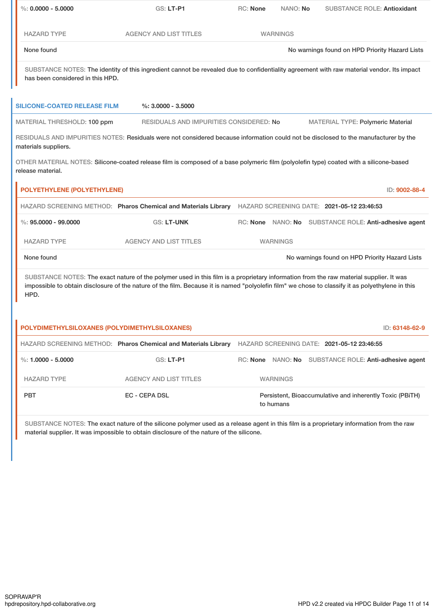| $\%$ : 0.0000 - 5.0000                        | GS: LT-P1                                                                                                                                                                                                                                                                                  | RC: None | NANO: No        |                                                       | <b>SUBSTANCE ROLE: Antioxidant</b> |
|-----------------------------------------------|--------------------------------------------------------------------------------------------------------------------------------------------------------------------------------------------------------------------------------------------------------------------------------------------|----------|-----------------|-------------------------------------------------------|------------------------------------|
| <b>HAZARD TYPE</b>                            | <b>AGENCY AND LIST TITLES</b>                                                                                                                                                                                                                                                              |          | <b>WARNINGS</b> |                                                       |                                    |
| None found                                    |                                                                                                                                                                                                                                                                                            |          |                 | No warnings found on HPD Priority Hazard Lists        |                                    |
| has been considered in this HPD.              | SUBSTANCE NOTES: The identity of this ingredient cannot be revealed due to confidentiality agreement with raw material vendor. Its impact                                                                                                                                                  |          |                 |                                                       |                                    |
| <b>SILICONE-COATED RELEASE FILM</b>           | $\%$ : 3.0000 - 3.5000                                                                                                                                                                                                                                                                     |          |                 |                                                       |                                    |
| MATERIAL THRESHOLD: 100 ppm                   | RESIDUALS AND IMPURITIES CONSIDERED: No                                                                                                                                                                                                                                                    |          |                 | <b>MATERIAL TYPE: Polymeric Material</b>              |                                    |
| materials suppliers.                          | RESIDUALS AND IMPURITIES NOTES: Residuals were not considered because information could not be disclosed to the manufacturer by the                                                                                                                                                        |          |                 |                                                       |                                    |
| release material.                             | OTHER MATERIAL NOTES: Silicone-coated release film is composed of a base polymeric film (polyolefin type) coated with a silicone-based                                                                                                                                                     |          |                 |                                                       |                                    |
| <b>POLYETHYLENE (POLYETHYLENE)</b>            |                                                                                                                                                                                                                                                                                            |          |                 |                                                       | ID: 9002-88-4                      |
|                                               | HAZARD SCREENING METHOD: Pharos Chemical and Materials Library HAZARD SCREENING DATE: 2021-05-12 23:46:53                                                                                                                                                                                  |          |                 |                                                       |                                    |
| $\%$ : 95.0000 - 99.0000                      | <b>GS: LT-UNK</b>                                                                                                                                                                                                                                                                          |          |                 | RC: None NANO: No SUBSTANCE ROLE: Anti-adhesive agent |                                    |
| <b>HAZARD TYPE</b>                            | <b>AGENCY AND LIST TITLES</b>                                                                                                                                                                                                                                                              |          | <b>WARNINGS</b> |                                                       |                                    |
| None found                                    |                                                                                                                                                                                                                                                                                            |          |                 | No warnings found on HPD Priority Hazard Lists        |                                    |
| HPD.                                          | SUBSTANCE NOTES: The exact nature of the polymer used in this film is a proprietary information from the raw material supplier. It was<br>impossible to obtain disclosure of the nature of the film. Because it is named "polyolefin film" we chose to classify it as polyethylene in this |          |                 |                                                       |                                    |
|                                               |                                                                                                                                                                                                                                                                                            |          |                 |                                                       |                                    |
| POLYDIMETHYLSILOXANES (POLYDIMETHYLSILOXANES) |                                                                                                                                                                                                                                                                                            |          |                 |                                                       | ID: 63148-62-9                     |
|                                               | HAZARD SCREENING METHOD: Pharos Chemical and Materials Library                                                                                                                                                                                                                             |          |                 | HAZARD SCREENING DATE: 2021-05-12 23:46:55            |                                    |
| %: $1.0000 - 5.0000$                          | GS: LT-P1                                                                                                                                                                                                                                                                                  |          |                 | RC: None NANO: No SUBSTANCE ROLE: Anti-adhesive agent |                                    |
| <b>HAZARD TYPE</b>                            | <b>AGENCY AND LIST TITLES</b>                                                                                                                                                                                                                                                              |          | <b>WARNINGS</b> |                                                       |                                    |

material supplier. It was impossible to obtain disclosure of the nature of the silicone.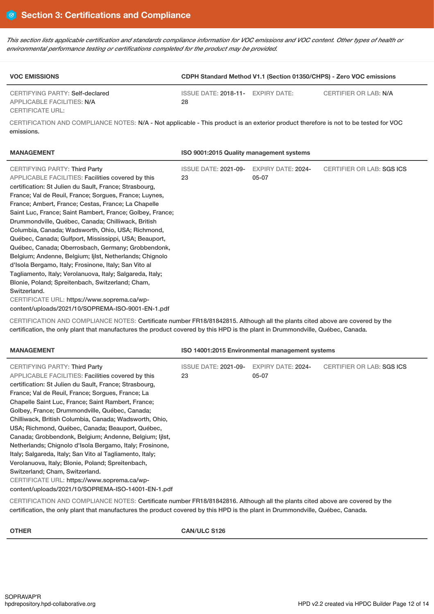This section lists applicable certification and standards compliance information for VOC emissions and VOC content. Other types of health or *environmental performance testing or certifications completed for the product may be provided.*

| <b>VOC EMISSIONS</b>                                          |                                         | CDPH Standard Method V1.1 (Section 01350/CHPS) - Zero VOC emissions |
|---------------------------------------------------------------|-----------------------------------------|---------------------------------------------------------------------|
| CERTIFYING PARTY: Self-declared<br>APPLICABLE FACILITIES: N/A | ISSUE DATE: 2018-11- EXPIRY DATE:<br>28 | CERTIFIER OR LAB: N/A                                               |
| CERTIFICATE URL:                                              |                                         |                                                                     |

CERTIFICATION AND COMPLIANCE NOTES: N/A - Not applicable - This product is an exterior product therefore is not to be tested for VOC emissions.

| <b>MANAGEMENT</b>                                         | ISO 9001:2015 Quality management systems |                           |                           |
|-----------------------------------------------------------|------------------------------------------|---------------------------|---------------------------|
| CERTIFYING PARTY: Third Party                             | <b>ISSUE DATE: 2021-09-</b>              | <b>EXPIRY DATE: 2024-</b> | CERTIFIER OR LAB: SGS ICS |
| APPLICABLE FACILITIES: Facilities covered by this         | 23                                       | 05-07                     |                           |
| certification: St Julien du Sault, France; Strasbourg,    |                                          |                           |                           |
| France; Val de Reuil, France; Sorgues, France; Luynes,    |                                          |                           |                           |
| France; Ambert, France; Cestas, France; La Chapelle       |                                          |                           |                           |
| Saint Luc, France; Saint Rambert, France; Golbey, France; |                                          |                           |                           |
| Drummondville, Québec, Canada; Chilliwack, British        |                                          |                           |                           |
| Columbia, Canada; Wadsworth, Ohio, USA; Richmond,         |                                          |                           |                           |
| Québec, Canada; Gulfport, Mississippi, USA; Beauport,     |                                          |                           |                           |
| Québec, Canada; Oberrosbach, Germany; Grobbendonk,        |                                          |                           |                           |
| Belgium; Andenne, Belgium; Ijlst, Netherlands; Chignolo   |                                          |                           |                           |
| d'Isola Bergamo, Italy; Frosinone, Italy; San Vito al     |                                          |                           |                           |
| Tagliamento, Italy; Verolanuova, Italy; Salgareda, Italy; |                                          |                           |                           |
| Blonie, Poland; Spreitenbach, Switzerland; Cham,          |                                          |                           |                           |
| Switzerland.                                              |                                          |                           |                           |
| CERTIFICATE URL: https://www.soprema.ca/wp-               |                                          |                           |                           |
| content/uploads/2021/10/SOPREMA-ISO-9001-EN-1.pdf         |                                          |                           |                           |

CERTIFICATION AND COMPLIANCE NOTES: Certificate number FR18/81842815. Although all the plants cited above are covered by the certification, the only plant that manufactures the product covered by this HPD is the plant in Drummondville, Québec, Canada.

| <b>MANAGEMENT</b>                                        | ISO 14001:2015 Environmental management systems |                           |                           |
|----------------------------------------------------------|-------------------------------------------------|---------------------------|---------------------------|
| <b>CERTIFYING PARTY: Third Party</b>                     | <b>ISSUE DATE: 2021-09-</b>                     | <b>EXPIRY DATE: 2024-</b> | CERTIFIER OR LAB: SGS ICS |
| APPLICABLE FACILITIES: Facilities covered by this        | 23                                              | 05-07                     |                           |
| certification: St Julien du Sault, France; Strasbourg,   |                                                 |                           |                           |
| France: Val de Reuil, France: Sorgues, France: La        |                                                 |                           |                           |
| Chapelle Saint Luc, France; Saint Rambert, France;       |                                                 |                           |                           |
| Golbey, France; Drummondville, Québec, Canada;           |                                                 |                           |                           |
| Chilliwack, British Columbia, Canada; Wadsworth, Ohio,   |                                                 |                           |                           |
| USA; Richmond, Québec, Canada; Beauport, Québec,         |                                                 |                           |                           |
| Canada; Grobbendonk, Belgium; Andenne, Belgium; Ijlst,   |                                                 |                           |                           |
| Netherlands; Chignolo d'Isola Bergamo, Italy; Frosinone, |                                                 |                           |                           |
| Italy; Salgareda, Italy; San Vito al Tagliamento, Italy; |                                                 |                           |                           |
| Verolanuova, Italy; Blonie, Poland; Spreitenbach,        |                                                 |                           |                           |
| Switzerland; Cham, Switzerland.                          |                                                 |                           |                           |
| CERTIFICATE URL: https://www.soprema.ca/wp-              |                                                 |                           |                           |
| content/uploads/2021/10/SOPREMA-ISO-14001-EN-1.pdf       |                                                 |                           |                           |

CERTIFICATION AND COMPLIANCE NOTES: Certificate number FR18/81842816. Although all the plants cited above are covered by the certification, the only plant that manufactures the product covered by this HPD is the plant in Drummondville, Québec, Canada.

**OTHER CAN/ULC S126**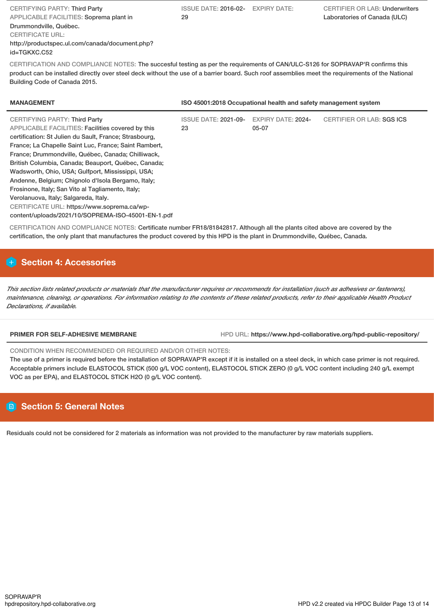| <b>CERTIFYING PARTY: Third Party</b>           |
|------------------------------------------------|
| APPLICABLE FACILITIES: Soprema plant in        |
| Drummondville, Québec.                         |
| <b>CERTIFICATE URL:</b>                        |
| http://productspec.ul.com/canada/document.php? |
| id=TGKXC.C52                                   |

ISSUE DATE: 2016-02- EXPIRY DATE: 29

CERTIFICATION AND COMPLIANCE NOTES: The succesful testing as per the requirements of CAN/ULC-S126 for SOPRAVAP'R confirms this product can be installed directly over steel deck without the use of a barrier board. Such roof assemblies meet the requirements of the National Building Code of Canada 2015.

| <b>EXPIRY DATE: 2024-</b><br><b>ISSUE DATE: 2021-09-</b>                                                                                                                                                                                                                                                                                                                                                                                                                                                                                                                                                       | ISO 45001:2018 Occupational health and safety management system | <b>MANAGEMENT</b>                    |
|----------------------------------------------------------------------------------------------------------------------------------------------------------------------------------------------------------------------------------------------------------------------------------------------------------------------------------------------------------------------------------------------------------------------------------------------------------------------------------------------------------------------------------------------------------------------------------------------------------------|-----------------------------------------------------------------|--------------------------------------|
| APPLICABLE FACILITIES: Facilities covered by this<br>23<br>05-07<br>certification: St Julien du Sault, France; Strasbourg,<br>France; La Chapelle Saint Luc, France; Saint Rambert,<br>France; Drummondville, Québec, Canada; Chilliwack,<br>British Columbia, Canada; Beauport, Québec, Canada;<br>Wadsworth, Ohio, USA; Gulfport, Mississippi, USA;<br>Andenne, Belgium; Chignolo d'Isola Bergamo, Italy;<br>Frosinone, Italy; San Vito al Tagliamento, Italy;<br>Verolanuova, Italy; Salgareda, Italy.<br>CERTIFICATE URL: https://www.soprema.ca/wp-<br>content/uploads/2021/10/SOPREMA-ISO-45001-EN-1.pdf | CERTIFIER OR LAB: SGS ICS                                       | <b>CERTIFYING PARTY: Third Party</b> |

CERTIFICATION AND COMPLIANCE NOTES: Certificate number FR18/81842817. Although all the plants cited above are covered by the certification, the only plant that manufactures the product covered by this HPD is the plant in Drummondville, Québec, Canada.

# **H** Section 4: Accessories

This section lists related products or materials that the manufacturer requires or recommends for installation (such as adhesives or fasteners), maintenance, cleaning, or operations. For information relating to the contents of these related products, refer to their applicable Health Product *Declarations, if available.*

**PRIMER FOR SELF-ADHESIVE MEMBRANE** HPD URL: **https://www.hpd-collaborative.org/hpd-public-repository/**

CONDITION WHEN RECOMMENDED OR REQUIRED AND/OR OTHER NOTES:

The use of a primer is required before the installation of SOPRAVAP'R except if it is installed on a steel deck, in which case primer is not required. Acceptable primers include ELASTOCOL STICK (500 g/L VOC content), ELASTOCOL STICK ZERO (0 g/L VOC content including 240 g/L exempt VOC as per EPA), and ELASTOCOL STICK H2O (0 g/L VOC content).

# **Section 5: General Notes**

Residuals could not be considered for 2 materials as information was not provided to the manufacturer by raw materials suppliers.